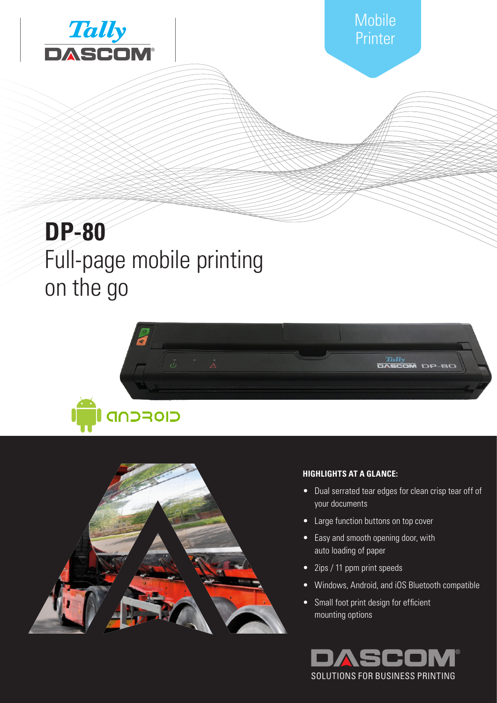



# **DP-80** Full-page mobile printing on the go





# **HIGHLIGHTS AT A GLANCE:**

- Dual serrated tear edges for clean crisp tear off of your documents
- **•** Large function buttons on top cover
- **VOR-ORT-**• Easy and smooth opening door, with auto loading of paper
- 2ips / 11 ppm print speeds
- Windows, Android, and iOS Bluetooth compatible
- Small foot print design for efficient mounting options